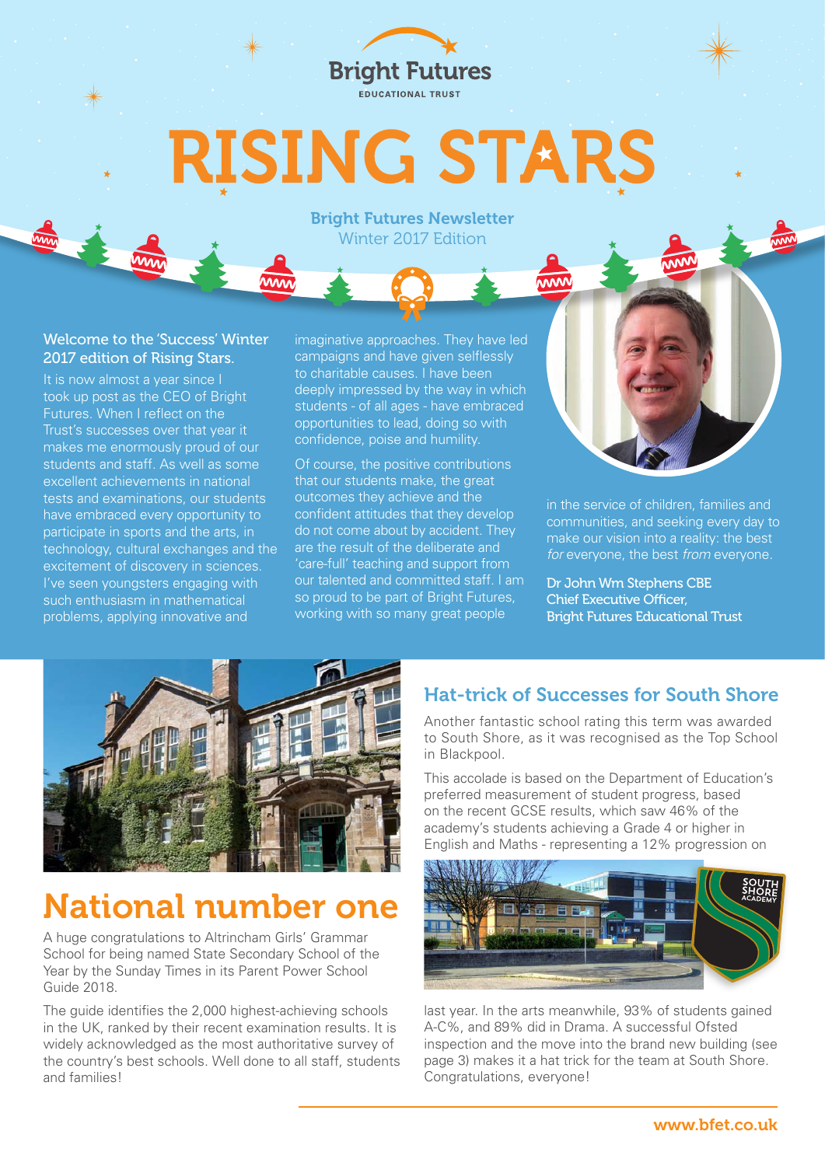

# **RISING STARS**

#### Bright Futures Newsletter Winter 2017 Edition

#### Welcome to the 'Success' Winter 2017 edition of Rising Stars.

It is now almost a year since I took up post as the CEO of Bright Futures. When I reflect on the Trust's successes over that year it makes me enormously proud of our students and staff. As well as some excellent achievements in national tests and examinations, our students have embraced every opportunity to participate in sports and the arts, in technology, cultural exchanges and the excitement of discovery in sciences. I've seen youngsters engaging with such enthusiasm in mathematical problems, applying innovative and

imaginative approaches. They have led campaigns and have given selflessly to charitable causes. I have been deeply impressed by the way in which students - of all ages - have embraced opportunities to lead, doing so with confidence, poise and humility.

Of course, the positive contributions that our students make, the great outcomes they achieve and the confident attitudes that they develop do not come about by accident. They are the result of the deliberate and 'care-full' teaching and support from our talented and committed staff. I am so proud to be part of Bright Futures, working with so many great people



in the service of children, families and communities, and seeking every day to make our vision into a reality: the best *for* everyone, the best *from* everyone.

Dr John Wm Stephens CBE Chief Executive Officer, Bright Futures Educational Trust



# National number one

A huge congratulations to Altrincham Girls' Grammar School for being named State Secondary School of the Year by the Sunday Times in its Parent Power School Guide 2018.

The guide identifies the 2,000 highest-achieving schools in the UK, ranked by their recent examination results. It is widely acknowledged as the most authoritative survey of the country's best schools. Well done to all staff, students and families!

#### Hat-trick of Successes for South Shore

Another fantastic school rating this term was awarded to South Shore, as it was recognised as the Top School in Blackpool.

This accolade is based on the Department of Education's preferred measurement of student progress, based on the recent GCSE results, which saw 46% of the academy's students achieving a Grade 4 or higher in English and Maths - representing a 12% progression on



last year. In the arts meanwhile, 93% of students gained A-C%, and 89% did in Drama. A successful Ofsted inspection and the move into the brand new building (see page 3) makes it a hat trick for the team at South Shore. Congratulations, everyone!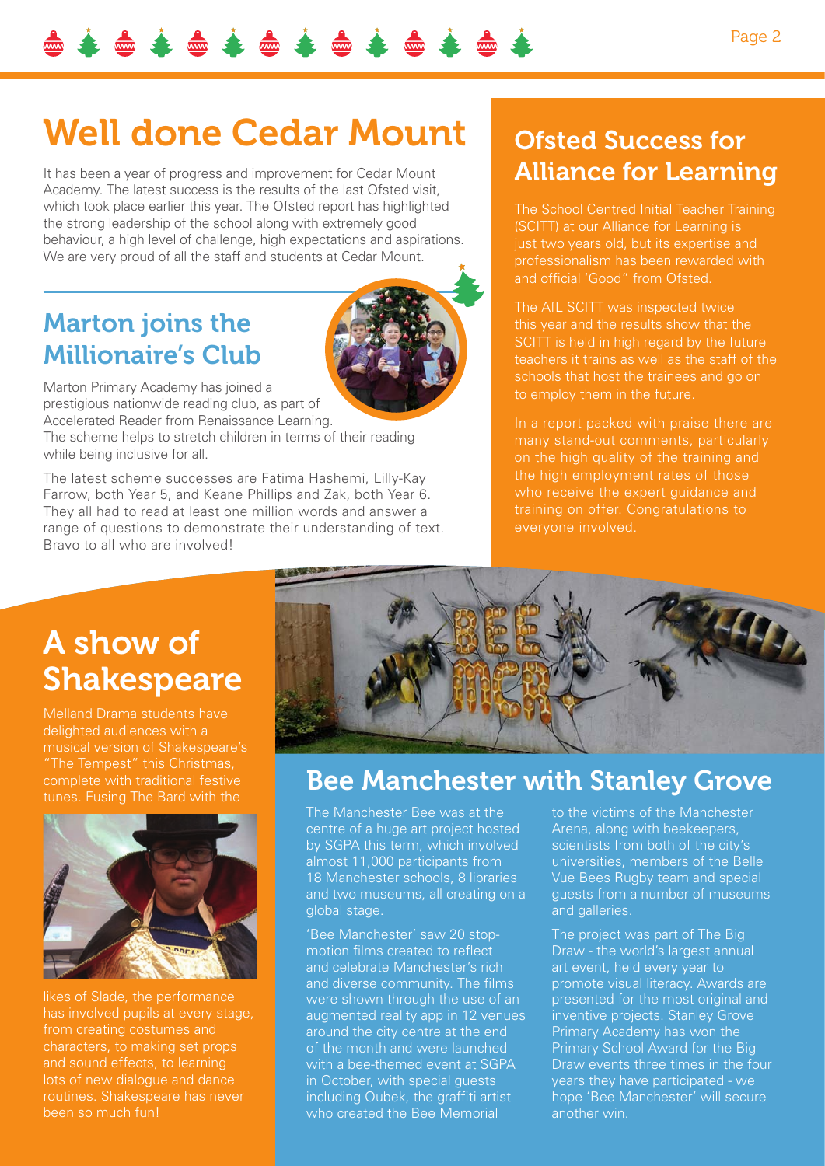# Well done Cedar Mount

It has been a year of progress and improvement for Cedar Mount Academy. The latest success is the results of the last Ofsted visit, which took place earlier this year. The Ofsted report has highlighted the strong leadership of the school along with extremely good behaviour, a high level of challenge, high expectations and aspirations. We are very proud of all the staff and students at Cedar Mount.

#### Marton joins the Millionaire's Club



Marton Primary Academy has joined a prestigious nationwide reading club, as part of Accelerated Reader from Renaissance Learning.

The scheme helps to stretch children in terms of their reading while being inclusive for all.

The latest scheme successes are Fatima Hashemi, Lilly-Kay Farrow, both Year 5, and Keane Phillips and Zak, both Year 6. They all had to read at least one million words and answer a range of questions to demonstrate their understanding of text. Bravo to all who are involved!

### Ofsted Success for Alliance for Learning

The School Centred Initial Teacher Training (SCITT) at our Alliance for Learning is just two years old, but its expertise and professionalism has been rewarded with and official 'Good" from Ofsted.

The AfL SCITT was inspected twice SCITT is held in high regard by the future teachers it trains as well as the staff of the schools that host the trainees and go on to employ them in the future.

In a report packed with praise there are on the high quality of the training and the high employment rates of those who receive the expert guidance and training on offer. Congratulations to everyone involved.

### A show of Shakespeare

Melland Drama students have delighted audiences with a musical version of Shakespeare's complete with traditional festive tunes. Fusing The Bard with the



likes of Slade, the performance has involved pupils at every stage, from creating costumes and characters, to making set props lots of new dialogue and dance routines. Shakespeare has never been so much fun!



#### Bee Manchester with Stanley Grove

The Manchester Bee was at the centre of a huge art project hosted by SGPA this term, which involved almost 11,000 participants from 18 Manchester schools, 8 libraries and two museums, all creating on a global stage.

'Bee Manchester' saw 20 stopmotion films created to reflect and celebrate Manchester's rich and diverse community. The films were shown through the use of an augmented reality app in 12 venues around the city centre at the end of the month and were launched with a bee-themed event at SGPA in October, with special guests including Qubek, the graffiti artist who created the Bee Memorial

to the victims of the Manchester Arena, along with beekeepers, scientists from both of the city's universities, members of the Belle Vue Bees Rugby team and special guests from a number of museums and galleries.

The project was part of The Big Draw - the world's largest annual art event, held every year to promote visual literacy. Awards are presented for the most original and inventive projects. Stanley Grove Primary Academy has won the Primary School Award for the Big Draw events three times in the four years they have participated - we hope 'Bee Manchester' will secure another win.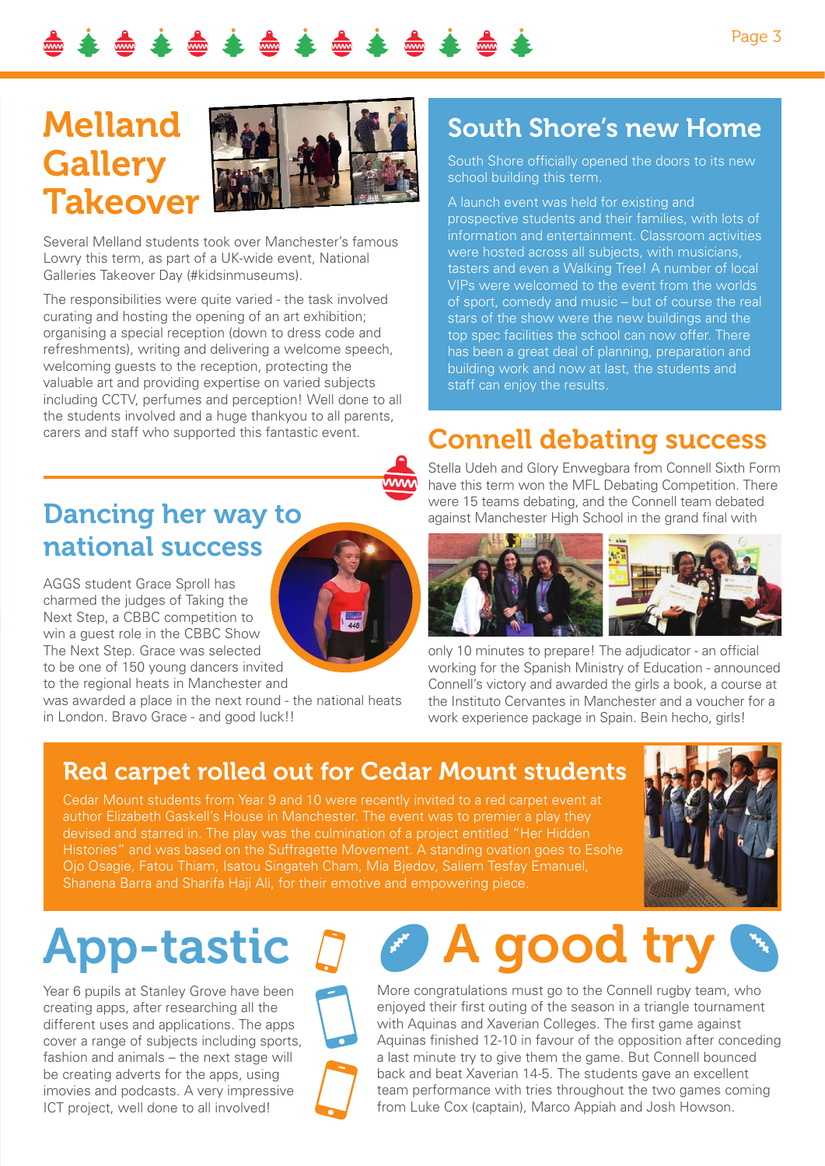

## Melland **Gallery** Takeover



Several Melland students took over Manchester's famous Lowry this term, as part of a UK-wide event, National Galleries Takeover Day (#kidsinmuseums).

The responsibilities were quite varied - the task involved curating and hosting the opening of an art exhibition; organising a special reception (down to dress code and refreshments), writing and delivering a welcome speech, welcoming guests to the reception, protecting the valuable art and providing expertise on varied subjects including CCTV, perfumes and perception! Well done to all the students involved and a huge thankyou to all parents, carers and staff who supported this fantastic event.

#### Dancing her way to national success

AGGS student Grace Sproll has charmed the judges of Taking the Next Step, a CBBC competition to win a guest role in the CBBC Show The Next Step. Grace was selected to be one of 150 young dancers invited

to the regional heats in Manchester and was awarded a place in the next round - the national heats in London. Bravo Grace - and good luck!!

#### South Shore's new Home

South Shore officially opened the doors to its new school building this term.

A launch event was held for existing and prospective students and their families, with lots of information and entertainment. Classroom activities were hosted across all subjects, with musicians, tasters and even a Walking Tree! A number of local VIPs were welcomed to the event from the worlds of sport, comedy and music – but of course the real stars of the show were the new buildings and the top spec facilities the school can now offer. There has been a great deal of planning, preparation and building work and now at last, the students and staff can enjoy the results.

#### Connell debating success

Stella Udeh and Glory Enwegbara from Connell Sixth Form have this term won the MFL Debating Competition. There were 15 teams debating, and the Connell team debated against Manchester High School in the grand final with



only 10 minutes to prepare! The adjudicator - an official working for the Spanish Ministry of Education - announced Connell's victory and awarded the girls a book, a course at the Instituto Cervantes in Manchester and a voucher for a work experience package in Spain. Bein hecho, girls!

#### Red carpet rolled out for Cedar Mount students

Cedar Mount students from Year 9 and 10 were recently invited to a red carpet event at author Elizabeth Gaskell's House in Manchester. The event was to premier a play they devised and starred in. The play was the culmination of a project entitled "Her Hidden Histories" and was based on the Suffragette Movement. A standing ovation goes to Esohe Ojo Osagie, Fatou Thiam, Isatou Singateh Cham, Mia Bjedov, Saliem Tesfay Emanuel, Shanena Barra and Sharifa Haji Ali, for their emotive and empowering piece.



# App-tastic

Year 6 pupils at Stanley Grove have been creating apps, after researching all the different uses and applications. The apps cover a range of subjects including sports, fashion and animals – the next stage will be creating adverts for the apps, using imovies and podcasts. A very impressive ICT project, well done to all involved!

# A good try

More congratulations must go to the Connell rugby team, who enjoyed their first outing of the season in a triangle tournament with Aquinas and Xaverian Colleges. The first game against Aquinas finished 12-10 in favour of the opposition after conceding a last minute try to give them the game. But Connell bounced back and beat Xaverian 14-5. The students gave an excellent team performance with tries throughout the two games coming from Luke Cox (captain), Marco Appiah and Josh Howson.